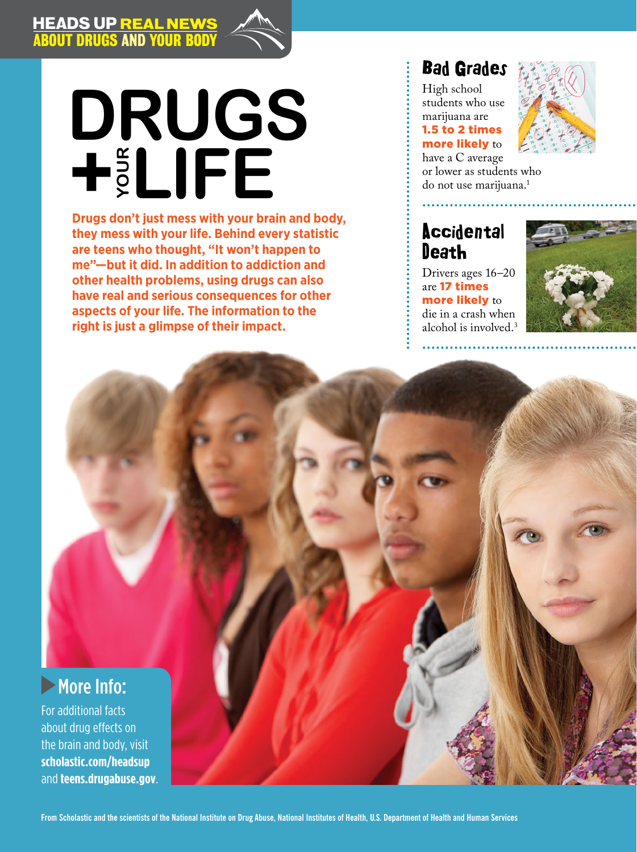I

I

# **LIFERRY SERVIS CONSUMING THE READ OF LIKE UP OF LIKE UP OF LIKE UP OF LIKE UP OF LIKE UP OF LIKE UP OF LIKE UP OF LIKE UP OF LIKE UP OF LIKE UP OF LIKE UP OF LIKE UP OF LIKE UP OF LIKE UP OF LIKE UP OF LIKE UP OF LIKE UP Your Drugs**

**Drugs don't just mess with your brain and body, they mess with your life. Behind every statistic are teens who thought, "It won't happen to me"—but it did. In addition to addiction and other health problems, using drugs can also have real and serious consequences for other aspects of your life. The information to the right is just a glimpse of their impact.**

## Bad Grades

ABOUT DRUGS AND YOUR BODY HEADS UP REAL NEWSFILM

> High school students who use marijuana are 1.5 to 2 times more likely to have a C average



or lower as students who<br>do not use marijuana.<sup>1</sup>

## **Accidental Death**

Drivers ages 16–20 are 17 times more likely to die in a crash when alcohol is involved.3



## **More Info:**

For additional facts about drug effects on the brain and body, visit **scholastic.com/headsup**  and **teens.drugabuse.gov**.